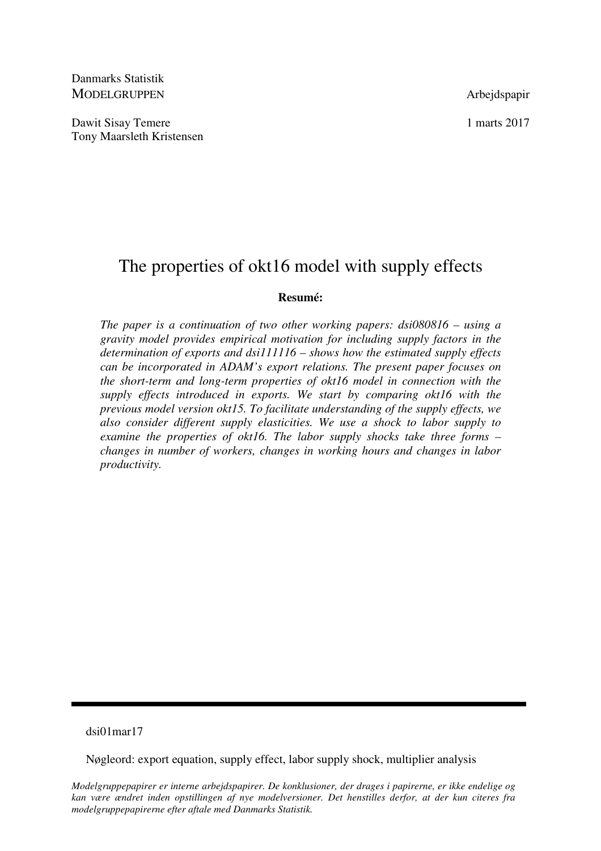Danmarks Statistik MODELGRUPPEN Arbejdspapir

Dawit Sisay Temere 1 marts 2017 Tony Maarsleth Kristensen

# The properties of okt16 model with supply effects

# **Resumé:**

*The paper is a continuation of two other working papers: dsi080816 – using a gravity model provides empirical motivation for including supply factors in the determination of exports and dsi111116 – shows how the estimated supply effects can be incorporated in ADAM's export relations. The present paper focuses on the short-term and long-term properties of okt16 model in connection with the supply effects introduced in exports. We start by comparing okt16 with the previous model version okt15. To facilitate understanding of the supply effects, we also consider different supply elasticities. We use a shock to labor supply to examine the properties of okt16. The labor supply shocks take three forms – changes in number of workers, changes in working hours and changes in labor productivity.* 

# dsi01mar17

Nøgleord: export equation, supply effect, labor supply shock, multiplier analysis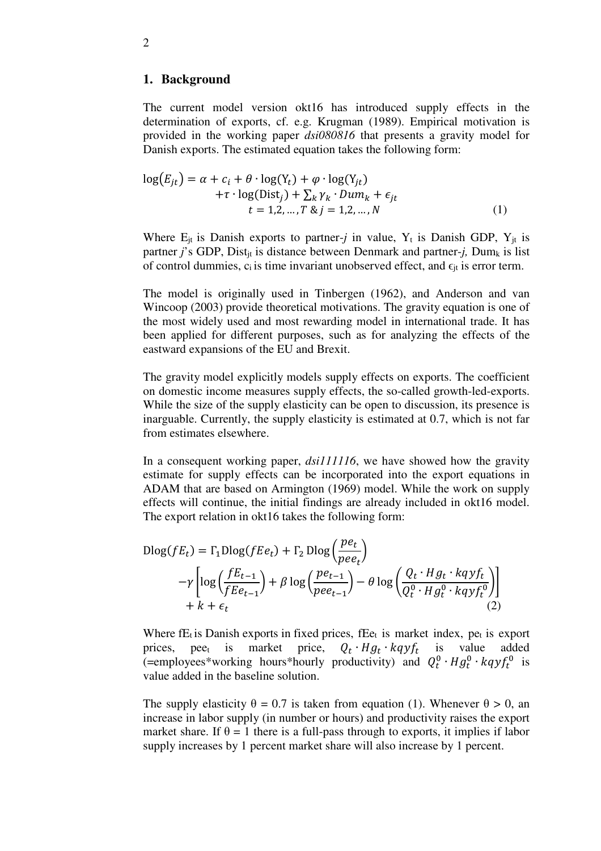# **1. Background**

The current model version okt16 has introduced supply effects in the determination of exports, cf. e.g. Krugman (1989). Empirical motivation is provided in the working paper *dsi080816* that presents a gravity model for Danish exports. The estimated equation takes the following form:

$$
log(E_{jt}) = \alpha + c_i + \theta \cdot log(Y_t) + \varphi \cdot log(Y_{jt})
$$
  
+
$$
\tau \cdot log(Dist_j) + \sum_k \gamma_k \cdot Dum_k + \epsilon_{jt}
$$
  

$$
t = 1, 2, ..., T \& j = 1, 2, ..., N
$$
 (1)

Where  $E_{jt}$  is Danish exports to partner-*j* in value,  $Y_t$  is Danish GDP,  $Y_{jt}$  is partner *j*'s GDP, Dist<sub>it</sub> is distance between Denmark and partner-*j*, Dum<sub>k</sub> is list of control dummies,  $c_i$  is time invariant unobserved effect, and  $\epsilon_{it}$  is error term.

The model is originally used in Tinbergen (1962), and Anderson and van Wincoop (2003) provide theoretical motivations. The gravity equation is one of the most widely used and most rewarding model in international trade. It has been applied for different purposes, such as for analyzing the effects of the eastward expansions of the EU and Brexit.

The gravity model explicitly models supply effects on exports. The coefficient on domestic income measures supply effects, the so-called growth-led-exports. While the size of the supply elasticity can be open to discussion, its presence is inarguable. Currently, the supply elasticity is estimated at 0.7, which is not far from estimates elsewhere.

In a consequent working paper, *dsi111116*, we have showed how the gravity estimate for supply effects can be incorporated into the export equations in ADAM that are based on Armington (1969) model. While the work on supply effects will continue, the initial findings are already included in okt16 model. The export relation in okt16 takes the following form:

$$
\begin{aligned} \text{Dlog}(fE_t) &= \Gamma_1 \text{Dlog}(fEe_t) + \Gamma_2 \text{ Dlog}\left(\frac{pe_t}{pee_t}\right) \\ &- \gamma \left[ \log\left(\frac{fE_{t-1}}{fEe_{t-1}}\right) + \beta \log\left(\frac{pe_{t-1}}{pee_{t-1}}\right) - \theta \log\left(\frac{Q_t \cdot Hg_t \cdot \text{kgyf}_t}{Q_t^0 \cdot Hg_t^0 \cdot \text{kgyf}_t^0}\right) \right] \\ &+ k + \epsilon_t \end{aligned} \tag{2}
$$

Where  $f_{t}$  is Danish exports in fixed prices,  $f_{t}$  is market index, pet is export prices, pee<sub>t</sub> is market price,  $\cdot Hg_t \cdot kq y f_t$  is value added (=employees\*working hours\*hourly productivity) and  $Q_t^0 \tcdot H g_t^0 \tcdot kq y f_t^0$  is value added in the baseline solution.

The supply elasticity  $\theta = 0.7$  is taken from equation (1). Whenever  $\theta > 0$ , an increase in labor supply (in number or hours) and productivity raises the export market share. If  $\theta = 1$  there is a full-pass through to exports, it implies if labor supply increases by 1 percent market share will also increase by 1 percent.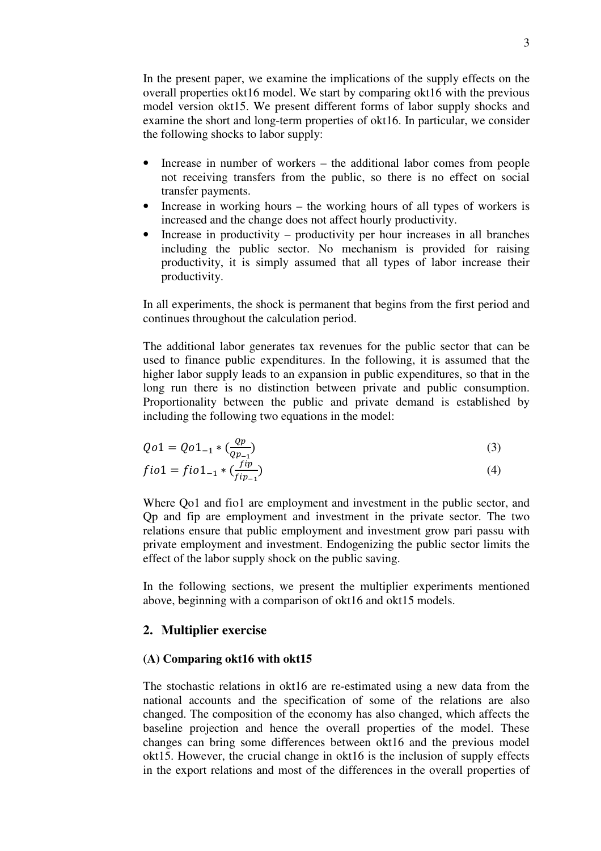In the present paper, we examine the implications of the supply effects on the overall properties okt16 model. We start by comparing okt16 with the previous model version okt15. We present different forms of labor supply shocks and examine the short and long-term properties of okt16. In particular, we consider the following shocks to labor supply:

- Increase in number of workers the additional labor comes from people not receiving transfers from the public, so there is no effect on social transfer payments.
- Increase in working hours the working hours of all types of workers is increased and the change does not affect hourly productivity.
- Increase in productivity productivity per hour increases in all branches including the public sector. No mechanism is provided for raising productivity, it is simply assumed that all types of labor increase their productivity.

In all experiments, the shock is permanent that begins from the first period and continues throughout the calculation period.

The additional labor generates tax revenues for the public sector that can be used to finance public expenditures. In the following, it is assumed that the higher labor supply leads to an expansion in public expenditures, so that in the long run there is no distinction between private and public consumption. Proportionality between the public and private demand is established by including the following two equations in the model:

$$
Qo1 = Qo1_{-1} * \left(\frac{op}{op_{-1}}\right) \tag{3}
$$

$$
fio1 = fio1_{-1} * \left(\frac{fip}{fip_{-1}}\right) \tag{4}
$$

Where Qo1 and fio1 are employment and investment in the public sector, and Qp and fip are employment and investment in the private sector. The two relations ensure that public employment and investment grow pari passu with private employment and investment. Endogenizing the public sector limits the effect of the labor supply shock on the public saving.

In the following sections, we present the multiplier experiments mentioned above, beginning with a comparison of okt16 and okt15 models.

# **2. Multiplier exercise**

# **(A) Comparing okt16 with okt15**

The stochastic relations in okt16 are re-estimated using a new data from the national accounts and the specification of some of the relations are also changed. The composition of the economy has also changed, which affects the baseline projection and hence the overall properties of the model. These changes can bring some differences between okt16 and the previous model okt15. However, the crucial change in okt16 is the inclusion of supply effects in the export relations and most of the differences in the overall properties of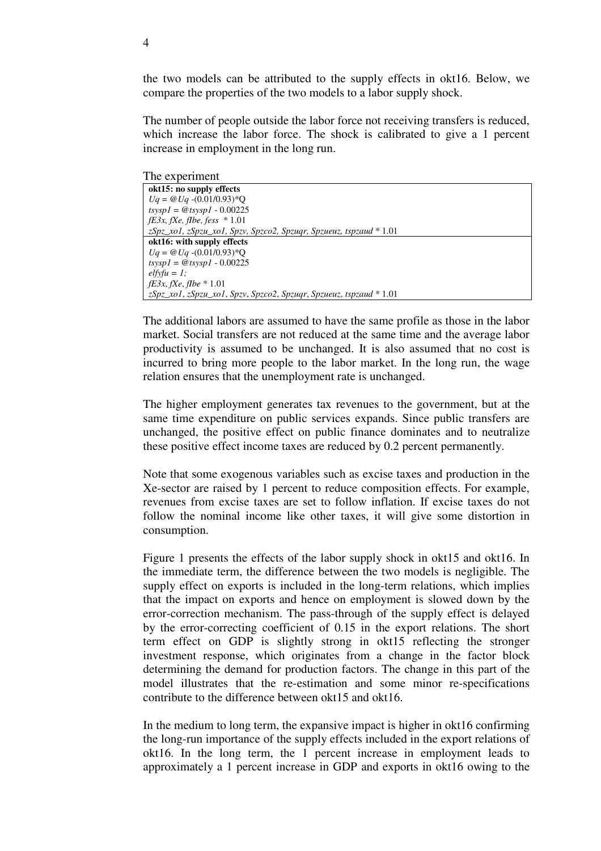the two models can be attributed to the supply effects in okt16. Below, we compare the properties of the two models to a labor supply shock.

The number of people outside the labor force not receiving transfers is reduced, which increase the labor force. The shock is calibrated to give a 1 percent increase in employment in the long run.

The experiment

| 1110 0110 0111110110                                                                     |
|------------------------------------------------------------------------------------------|
| okt15: no supply effects                                                                 |
| $Uq = \omega Uq - (0.01/0.93)^*Q$                                                        |
| $tsvsp1 = @tsvsp1 - 0.00225$                                                             |
| $fE3x$ , fXe, fIbe, fess $*1.01$                                                         |
| z $Spz_x$ xol, z $Spzu_x$ xol, $Spzv$ , $Spzco2$ , $Spzuqr$ , $Spzueuz$ , tspzaud * 1.01 |
| okt16: with supply effects                                                               |
| $Uq = \omega Uq - (0.01/0.93)^*Q$                                                        |
| $t$ sys $p = \mathcal{Q} t$ sys $p1 - 0.00225$                                           |
| $elfyfu = 1$ :                                                                           |
| <i>fE3x, fXe, fIbe</i> $* 1.01$                                                          |
| zSpz_xo1, zSpzu_xo1, Spzv, Spzco2, Spzugr, Spzueuz, tspzaud * 1.01                       |

The additional labors are assumed to have the same profile as those in the labor market. Social transfers are not reduced at the same time and the average labor productivity is assumed to be unchanged. It is also assumed that no cost is incurred to bring more people to the labor market. In the long run, the wage relation ensures that the unemployment rate is unchanged.

The higher employment generates tax revenues to the government, but at the same time expenditure on public services expands. Since public transfers are unchanged, the positive effect on public finance dominates and to neutralize these positive effect income taxes are reduced by 0.2 percent permanently.

Note that some exogenous variables such as excise taxes and production in the Xe-sector are raised by 1 percent to reduce composition effects. For example, revenues from excise taxes are set to follow inflation. If excise taxes do not follow the nominal income like other taxes, it will give some distortion in consumption.

Figure 1 presents the effects of the labor supply shock in okt15 and okt16. In the immediate term, the difference between the two models is negligible. The supply effect on exports is included in the long-term relations, which implies that the impact on exports and hence on employment is slowed down by the error-correction mechanism. The pass-through of the supply effect is delayed by the error-correcting coefficient of 0.15 in the export relations. The short term effect on GDP is slightly strong in okt15 reflecting the stronger investment response, which originates from a change in the factor block determining the demand for production factors. The change in this part of the model illustrates that the re-estimation and some minor re-specifications contribute to the difference between okt15 and okt16.

In the medium to long term, the expansive impact is higher in okt16 confirming the long-run importance of the supply effects included in the export relations of okt16. In the long term, the 1 percent increase in employment leads to approximately a 1 percent increase in GDP and exports in okt16 owing to the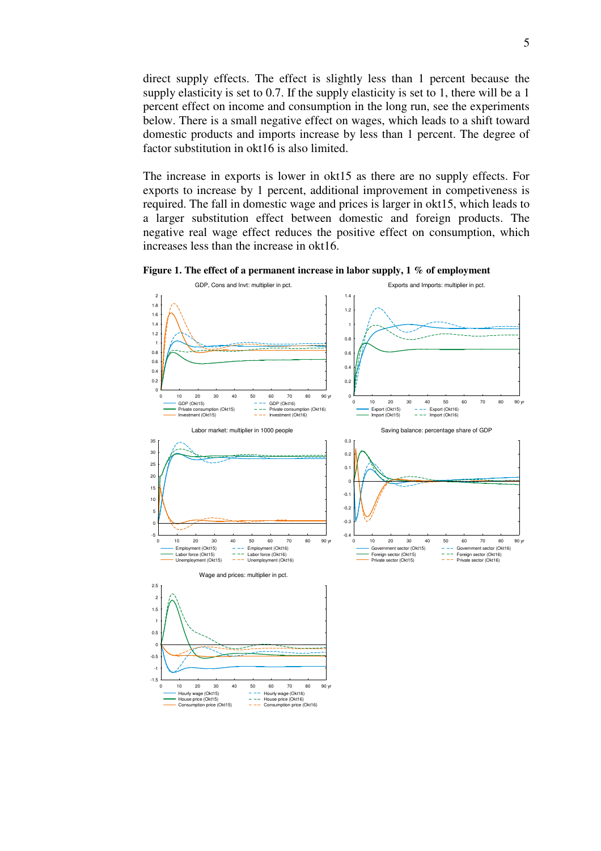direct supply effects. The effect is slightly less than 1 percent because the supply elasticity is set to 0.7. If the supply elasticity is set to 1, there will be a 1 percent effect on income and consumption in the long run, see the experiments below. There is a small negative effect on wages, which leads to a shift toward domestic products and imports increase by less than 1 percent. The degree of factor substitution in okt16 is also limited.

The increase in exports is lower in okt15 as there are no supply effects. For exports to increase by 1 percent, additional improvement in competiveness is required. The fall in domestic wage and prices is larger in okt15, which leads to a larger substitution effect between domestic and foreign products. The negative real wage effect reduces the positive effect on consumption, which increases less than the increase in okt16.



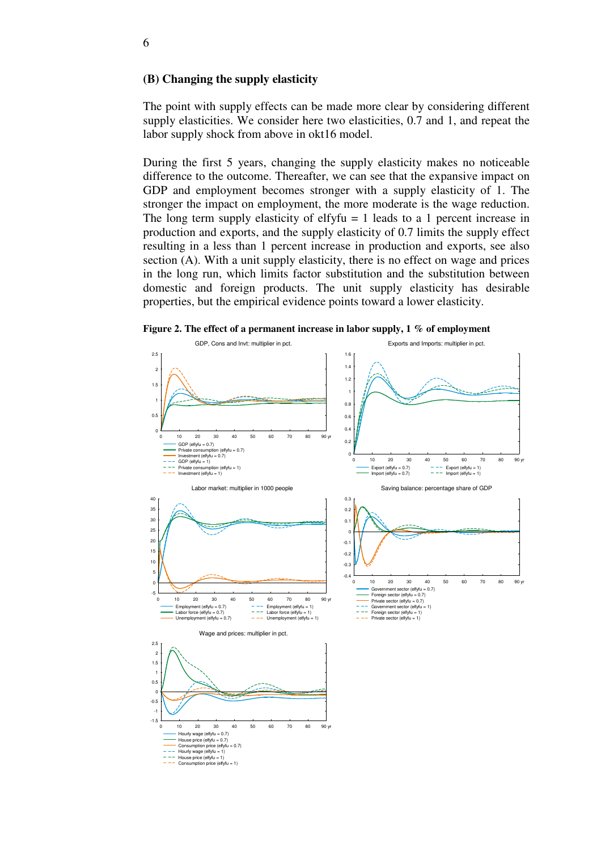#### **(B) Changing the supply elasticity**

The point with supply effects can be made more clear by considering different supply elasticities. We consider here two elasticities, 0.7 and 1, and repeat the labor supply shock from above in okt16 model.

During the first 5 years, changing the supply elasticity makes no noticeable difference to the outcome. Thereafter, we can see that the expansive impact on GDP and employment becomes stronger with a supply elasticity of 1. The stronger the impact on employment, the more moderate is the wage reduction. The long term supply elasticity of elfyfu  $= 1$  leads to a 1 percent increase in production and exports, and the supply elasticity of 0.7 limits the supply effect resulting in a less than 1 percent increase in production and exports, see also section (A). With a unit supply elasticity, there is no effect on wage and prices in the long run, which limits factor substitution and the substitution between domestic and foreign products. The unit supply elasticity has desirable properties, but the empirical evidence points toward a lower elasticity.

**Figure 2. The effect of a permanent increase in labor supply, 1 % of employment**

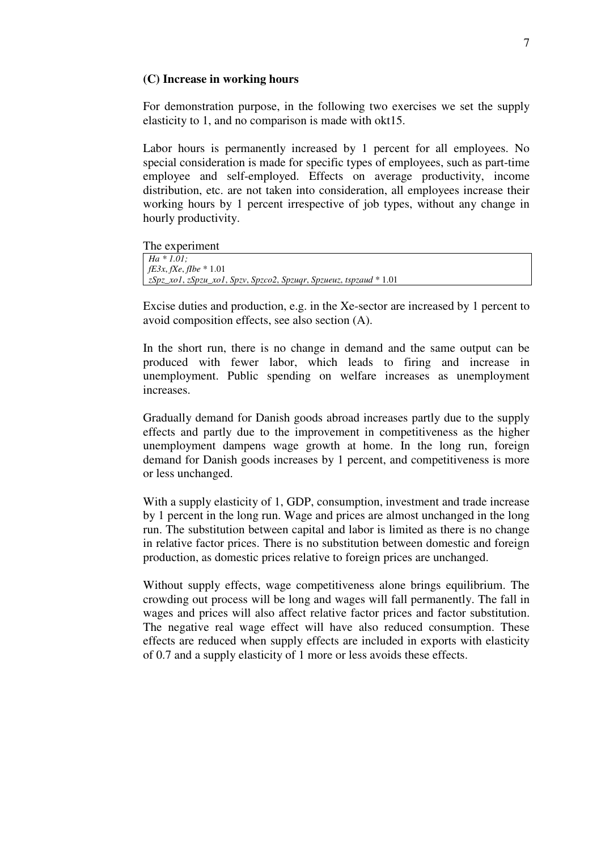#### **(C) Increase in working hours**

For demonstration purpose, in the following two exercises we set the supply elasticity to 1, and no comparison is made with okt15.

Labor hours is permanently increased by 1 percent for all employees. No special consideration is made for specific types of employees, such as part-time employee and self-employed. Effects on average productivity, income distribution, etc. are not taken into consideration, all employees increase their working hours by 1 percent irrespective of job types, without any change in hourly productivity.

The experiment

| $Ha * 1.01$ :                                                         |
|-----------------------------------------------------------------------|
| <i>fE3x, fXe, fIbe</i> * 1.01                                         |
| $ zSpz_xol, zSpzu_xol, Spzv, Spzco2, Spzuqr, Spzueuz, tspzaud * 1.01$ |

Excise duties and production, e.g. in the Xe-sector are increased by 1 percent to avoid composition effects, see also section (A).

In the short run, there is no change in demand and the same output can be produced with fewer labor, which leads to firing and increase in unemployment. Public spending on welfare increases as unemployment increases.

Gradually demand for Danish goods abroad increases partly due to the supply effects and partly due to the improvement in competitiveness as the higher unemployment dampens wage growth at home. In the long run, foreign demand for Danish goods increases by 1 percent, and competitiveness is more or less unchanged.

With a supply elasticity of 1, GDP, consumption, investment and trade increase by 1 percent in the long run. Wage and prices are almost unchanged in the long run. The substitution between capital and labor is limited as there is no change in relative factor prices. There is no substitution between domestic and foreign production, as domestic prices relative to foreign prices are unchanged.

Without supply effects, wage competitiveness alone brings equilibrium. The crowding out process will be long and wages will fall permanently. The fall in wages and prices will also affect relative factor prices and factor substitution. The negative real wage effect will have also reduced consumption. These effects are reduced when supply effects are included in exports with elasticity of 0.7 and a supply elasticity of 1 more or less avoids these effects.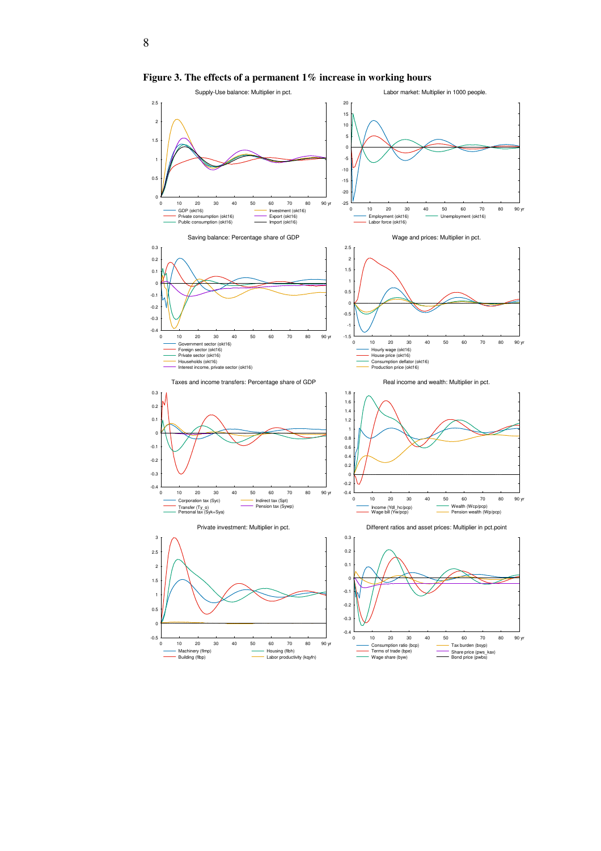

**Figure 3. The effects of a permanent 1% increase in working hours** 

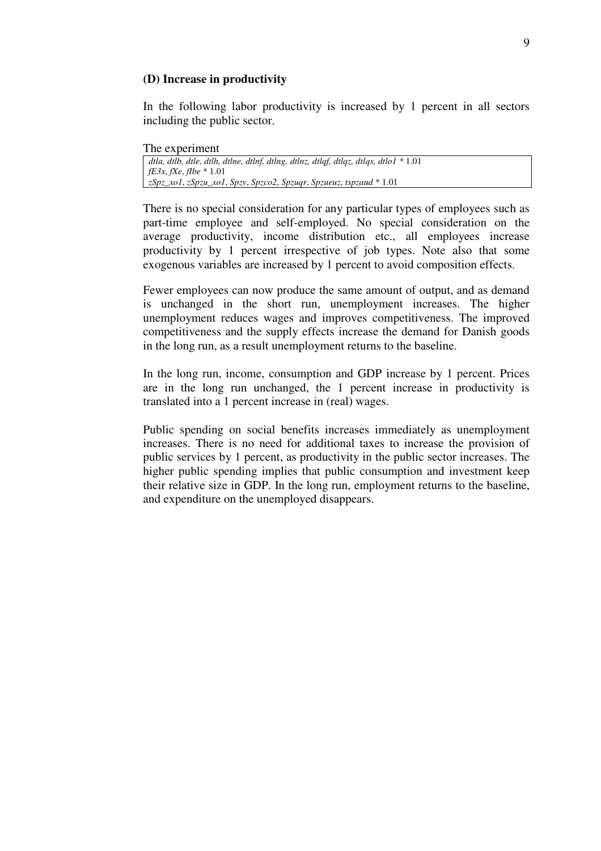## **(D) Increase in productivity**

In the following labor productivity is increased by 1 percent in all sectors including the public sector.

## The experiment

| dtla, dtlb, dtle, dtlh, dtlne, dtlnf, dtlng, dtlnz, dtlqf, dtlqz, dtlqs, dtlo $1 * 1.01$ |  |
|------------------------------------------------------------------------------------------|--|
| <i>fE3x, fXe, fIbe</i> $* 1.01$                                                          |  |
| zSpz_xo1, zSpzu_xo1, Spzv, Spzco2, Spzuqr, Spzueuz, tspzaud * 1.01                       |  |

There is no special consideration for any particular types of employees such as part-time employee and self-employed. No special consideration on the average productivity, income distribution etc., all employees increase productivity by 1 percent irrespective of job types. Note also that some exogenous variables are increased by 1 percent to avoid composition effects.

Fewer employees can now produce the same amount of output, and as demand is unchanged in the short run, unemployment increases. The higher unemployment reduces wages and improves competitiveness. The improved competitiveness and the supply effects increase the demand for Danish goods in the long run, as a result unemployment returns to the baseline.

In the long run, income, consumption and GDP increase by 1 percent. Prices are in the long run unchanged, the 1 percent increase in productivity is translated into a 1 percent increase in (real) wages.

Public spending on social benefits increases immediately as unemployment increases. There is no need for additional taxes to increase the provision of public services by 1 percent, as productivity in the public sector increases. The higher public spending implies that public consumption and investment keep their relative size in GDP. In the long run, employment returns to the baseline, and expenditure on the unemployed disappears.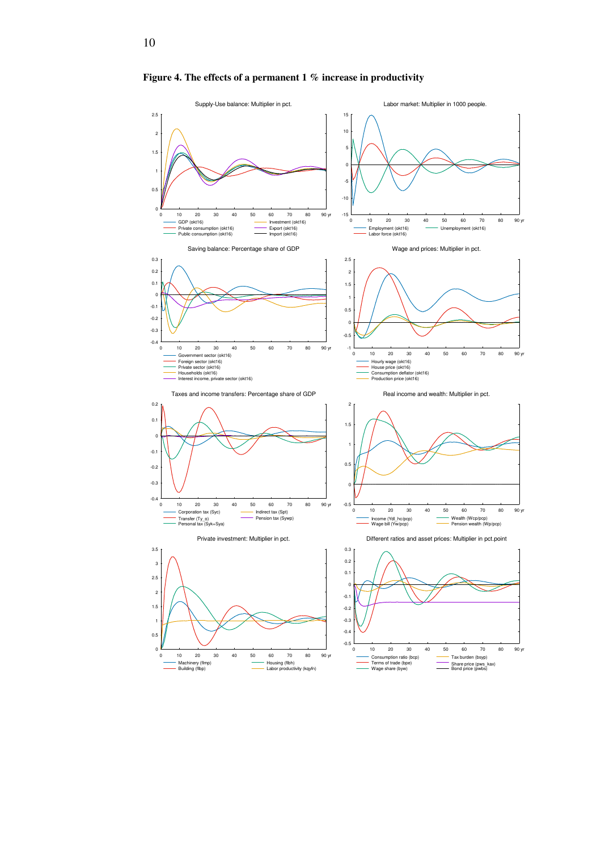

**Figure 4. The effects of a permanent 1 % increase in productivity**